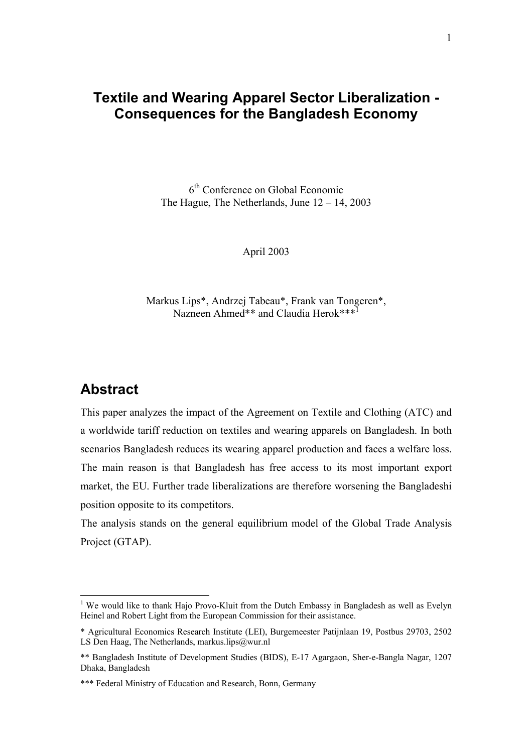# **Textile and Wearing Apparel Sector Liberalization - Consequences for the Bangladesh Economy**

6th Conference on Global Economic The Hague, The Netherlands, June  $12 - 14$ , 2003

April 2003

Markus Lips\*, Andrzej Tabeau\*, Frank van Tongeren\*, Nazneen Ahmed\*\* and Claudia Herok\*\*\*<sup>1</sup>

# **Abstract**

 $\overline{a}$ 

This paper analyzes the impact of the Agreement on Textile and Clothing (ATC) and a worldwide tariff reduction on textiles and wearing apparels on Bangladesh. In both scenarios Bangladesh reduces its wearing apparel production and faces a welfare loss. The main reason is that Bangladesh has free access to its most important export market, the EU. Further trade liberalizations are therefore worsening the Bangladeshi position opposite to its competitors.

The analysis stands on the general equilibrium model of the Global Trade Analysis Project (GTAP).

<sup>&</sup>lt;sup>1</sup> We would like to thank Hajo Provo-Kluit from the Dutch Embassy in Bangladesh as well as Evelyn Heinel and Robert Light from the European Commission for their assistance.

<sup>\*</sup> Agricultural Economics Research Institute (LEI), Burgemeester Patijnlaan 19, Postbus 29703, 2502 LS Den Haag, The Netherlands, markus.lips@wur.nl

<sup>\*\*</sup> Bangladesh Institute of Development Studies (BIDS), E-17 Agargaon, Sher-e-Bangla Nagar, 1207 Dhaka, Bangladesh

<sup>\*\*\*</sup> Federal Ministry of Education and Research, Bonn, Germany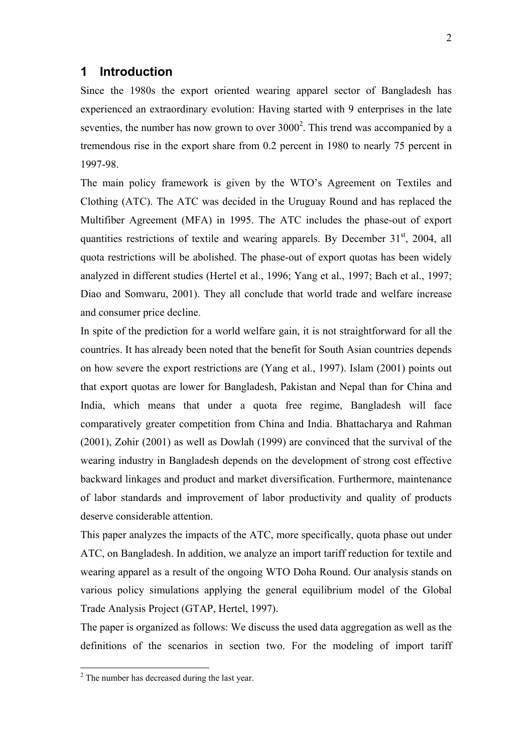### **1 Introduction**

Since the 1980s the export oriented wearing apparel sector of Bangladesh has experienced an extraordinary evolution: Having started with 9 enterprises in the late seventies, the number has now grown to over  $3000<sup>2</sup>$ . This trend was accompanied by a tremendous rise in the export share from 0.2 percent in 1980 to nearly 75 percent in 1997-98.

The main policy framework is given by the WTO's Agreement on Textiles and Clothing (ATC). The ATC was decided in the Uruguay Round and has replaced the Multifiber Agreement (MFA) in 1995. The ATC includes the phase-out of export quantities restrictions of textile and wearing apparels. By December  $31<sup>st</sup>$ , 2004, all quota restrictions will be abolished. The phase-out of export quotas has been widely analyzed in different studies (Hertel et al., 1996; Yang et al., 1997; Bach et al., 1997; Diao and Somwaru, 2001). They all conclude that world trade and welfare increase and consumer price decline.

In spite of the prediction for a world welfare gain, it is not straightforward for all the countries. It has already been noted that the benefit for South Asian countries depends on how severe the export restrictions are (Yang et al., 1997). Islam (2001) points out that export quotas are lower for Bangladesh, Pakistan and Nepal than for China and India, which means that under a quota free regime, Bangladesh will face comparatively greater competition from China and India. Bhattacharya and Rahman (2001), Zohir (2001) as well as Dowlah (1999) are convinced that the survival of the wearing industry in Bangladesh depends on the development of strong cost effective backward linkages and product and market diversification. Furthermore, maintenance of labor standards and improvement of labor productivity and quality of products deserve considerable attention.

This paper analyzes the impacts of the ATC, more specifically, quota phase out under ATC, on Bangladesh. In addition, we analyze an import tariff reduction for textile and wearing apparel as a result of the ongoing WTO Doha Round. Our analysis stands on various policy simulations applying the general equilibrium model of the Global Trade Analysis Project (GTAP, Hertel, 1997).

The paper is organized as follows: We discuss the used data aggregation as well as the definitions of the scenarios in section two. For the modeling of import tariff

<sup>&</sup>lt;sup>2</sup> The number has decreased during the last year.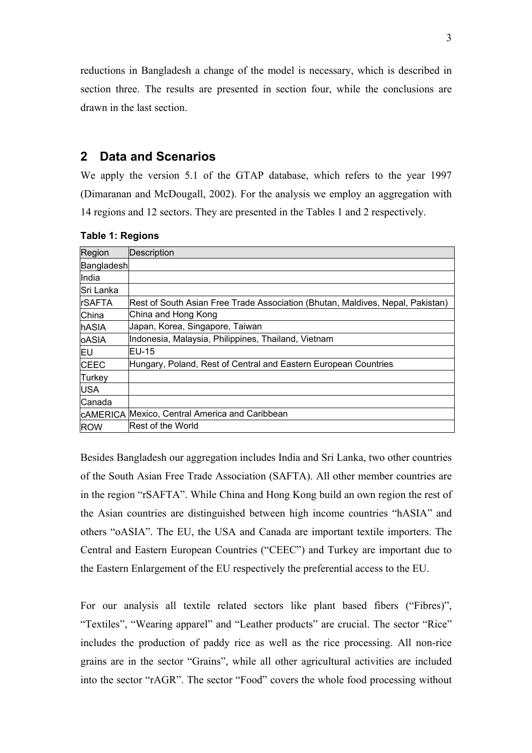reductions in Bangladesh a change of the model is necessary, which is described in section three. The results are presented in section four, while the conclusions are drawn in the last section.

### **2 Data and Scenarios**

We apply the version 5.1 of the GTAP database, which refers to the year 1997 (Dimaranan and McDougall, 2002). For the analysis we employ an aggregation with 14 regions and 12 sectors. They are presented in the Tables 1 and 2 respectively.

| Region         | Description                                                                    |
|----------------|--------------------------------------------------------------------------------|
| Bangladesh     |                                                                                |
| India          |                                                                                |
| Sri Lanka      |                                                                                |
| <b>IrSAFTA</b> | Rest of South Asian Free Trade Association (Bhutan, Maldives, Nepal, Pakistan) |
| China          | China and Hong Kong                                                            |
| hASIA          | Japan, Korea, Singapore, Taiwan                                                |
| <b>oASIA</b>   | Indonesia, Malaysia, Philippines, Thailand, Vietnam                            |
| EU             | <b>IEU-15</b>                                                                  |
| <b>CEEC</b>    | Hungary, Poland, Rest of Central and Eastern European Countries                |
| Turkey         |                                                                                |
| <b>USA</b>     |                                                                                |
| Canada         |                                                                                |
|                | <b>CAMERICA Mexico, Central America and Caribbean</b>                          |
| <b>ROW</b>     | <b>Rest of the World</b>                                                       |

#### **Table 1: Regions**

Besides Bangladesh our aggregation includes India and Sri Lanka, two other countries of the South Asian Free Trade Association (SAFTA). All other member countries are in the region "rSAFTA". While China and Hong Kong build an own region the rest of the Asian countries are distinguished between high income countries "hASIA" and others "oASIA". The EU, the USA and Canada are important textile importers. The Central and Eastern European Countries ("CEEC") and Turkey are important due to the Eastern Enlargement of the EU respectively the preferential access to the EU.

For our analysis all textile related sectors like plant based fibers ("Fibres)", "Textiles", "Wearing apparel" and "Leather products" are crucial. The sector "Rice" includes the production of paddy rice as well as the rice processing. All non-rice grains are in the sector "Grains", while all other agricultural activities are included into the sector "rAGR". The sector "Food" covers the whole food processing without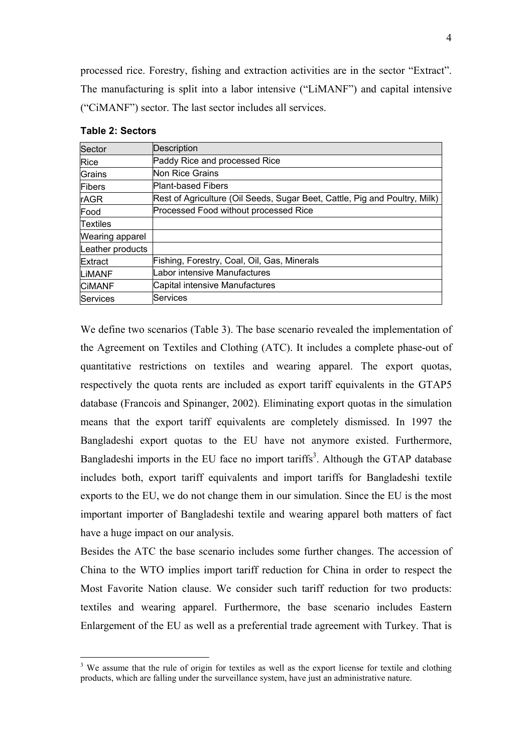processed rice. Forestry, fishing and extraction activities are in the sector "Extract". The manufacturing is split into a labor intensive ("LiMANF") and capital intensive ("CiMANF") sector. The last sector includes all services.

| Sector                 | Description                                                                |
|------------------------|----------------------------------------------------------------------------|
| <b>Rice</b>            | Paddy Rice and processed Rice                                              |
| Grains                 | Non Rice Grains                                                            |
| Fibers                 | <b>Plant-based Fibers</b>                                                  |
| <b>rAGR</b>            | Rest of Agriculture (Oil Seeds, Sugar Beet, Cattle, Pig and Poultry, Milk) |
| Food                   | Processed Food without processed Rice                                      |
| <b>Textiles</b>        |                                                                            |
| <b>Wearing apparel</b> |                                                                            |
| Leather products       |                                                                            |
| Extract                | Fishing, Forestry, Coal, Oil, Gas, Minerals                                |
| LIMANF                 | Labor intensive Manufactures                                               |
| <b>CIMANF</b>          | Capital intensive Manufactures                                             |
| Services               | Services                                                                   |

#### **Table 2: Sectors**

 $\overline{a}$ 

We define two scenarios (Table 3). The base scenario revealed the implementation of the Agreement on Textiles and Clothing (ATC). It includes a complete phase-out of quantitative restrictions on textiles and wearing apparel. The export quotas, respectively the quota rents are included as export tariff equivalents in the GTAP5 database (Francois and Spinanger, 2002). Eliminating export quotas in the simulation means that the export tariff equivalents are completely dismissed. In 1997 the Bangladeshi export quotas to the EU have not anymore existed. Furthermore, Bangladeshi imports in the EU face no import tariffs<sup>3</sup>. Although the GTAP database includes both, export tariff equivalents and import tariffs for Bangladeshi textile exports to the EU, we do not change them in our simulation. Since the EU is the most important importer of Bangladeshi textile and wearing apparel both matters of fact have a huge impact on our analysis.

Besides the ATC the base scenario includes some further changes. The accession of China to the WTO implies import tariff reduction for China in order to respect the Most Favorite Nation clause. We consider such tariff reduction for two products: textiles and wearing apparel. Furthermore, the base scenario includes Eastern Enlargement of the EU as well as a preferential trade agreement with Turkey. That is

 $3$  We assume that the rule of origin for textiles as well as the export license for textile and clothing products, which are falling under the surveillance system, have just an administrative nature.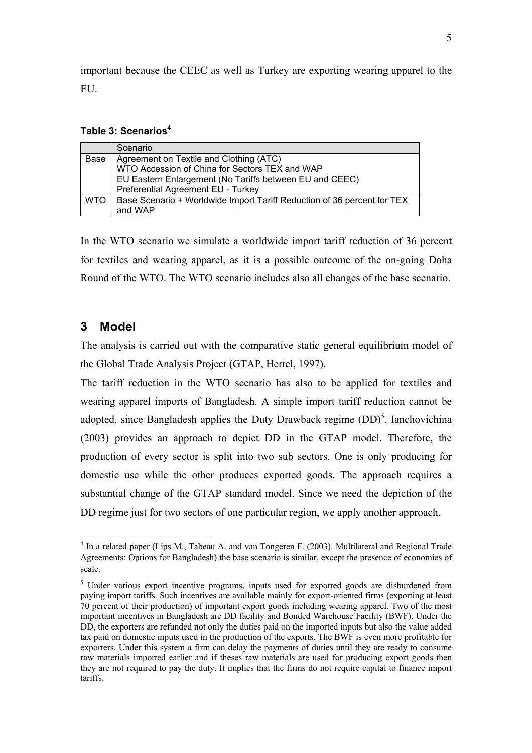important because the CEEC as well as Turkey are exporting wearing apparel to the EU.

**Table 3: Scenarios<sup>4</sup>**

|            | Scenario                                                                                  |
|------------|-------------------------------------------------------------------------------------------|
| Base       | Agreement on Textile and Clothing (ATC)<br>WTO Accession of China for Sectors TEX and WAP |
|            |                                                                                           |
|            | EU Eastern Enlargement (No Tariffs between EU and CEEC)                                   |
|            | Preferential Agreement EU - Turkey                                                        |
| <b>WTO</b> | Base Scenario + Worldwide Import Tariff Reduction of 36 percent for TEX                   |
|            | and WAP                                                                                   |

In the WTO scenario we simulate a worldwide import tariff reduction of 36 percent for textiles and wearing apparel, as it is a possible outcome of the on-going Doha Round of the WTO. The WTO scenario includes also all changes of the base scenario.

## **3 Model**

 $\overline{a}$ 

The analysis is carried out with the comparative static general equilibrium model of the Global Trade Analysis Project (GTAP, Hertel, 1997).

The tariff reduction in the WTO scenario has also to be applied for textiles and wearing apparel imports of Bangladesh. A simple import tariff reduction cannot be adopted, since Bangladesh applies the Duty Drawback regime  $(DD)^5$ . Ianchovichina (2003) provides an approach to depict DD in the GTAP model. Therefore, the production of every sector is split into two sub sectors. One is only producing for domestic use while the other produces exported goods. The approach requires a substantial change of the GTAP standard model. Since we need the depiction of the DD regime just for two sectors of one particular region, we apply another approach.

<sup>&</sup>lt;sup>4</sup> In a related paper (Lips M., Tabeau A. and van Tongeren F. (2003). Multilateral and Regional Trade Agreements: Options for Bangladesh) the base scenario is similar, except the presence of economies of scale.

<sup>&</sup>lt;sup>5</sup> Under various export incentive programs, inputs used for exported goods are disburdened from paying import tariffs. Such incentives are available mainly for export-oriented firms (exporting at least 70 percent of their production) of important export goods including wearing apparel. Two of the most important incentives in Bangladesh are DD facility and Bonded Warehouse Facility (BWF). Under the DD, the exporters are refunded not only the duties paid on the imported inputs but also the value added tax paid on domestic inputs used in the production of the exports. The BWF is even more profitable for exporters. Under this system a firm can delay the payments of duties until they are ready to consume raw materials imported earlier and if theses raw materials are used for producing export goods then they are not required to pay the duty. It implies that the firms do not require capital to finance import tariffs.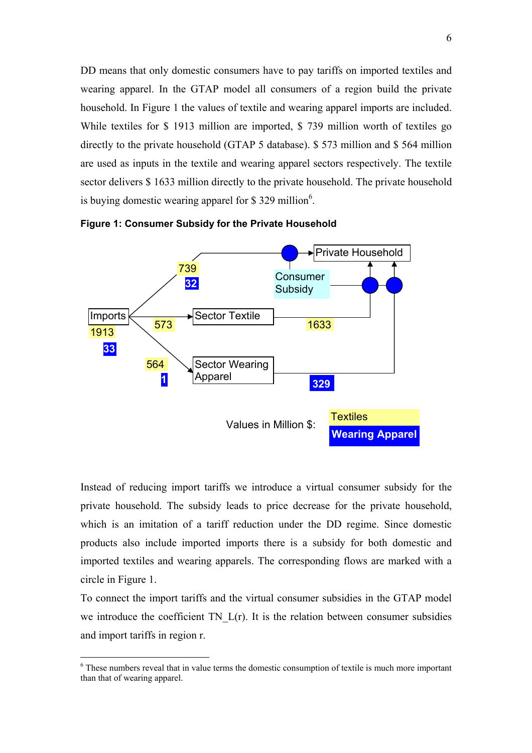DD means that only domestic consumers have to pay tariffs on imported textiles and wearing apparel. In the GTAP model all consumers of a region build the private household. In Figure 1 the values of textile and wearing apparel imports are included. While textiles for \$ 1913 million are imported, \$ 739 million worth of textiles go directly to the private household (GTAP 5 database). \$ 573 million and \$ 564 million are used as inputs in the textile and wearing apparel sectors respectively. The textile sector delivers \$ 1633 million directly to the private household. The private household is buying domestic wearing apparel for \$329 million<sup>6</sup>.



**Figure 1: Consumer Subsidy for the Private Household**

Instead of reducing import tariffs we introduce a virtual consumer subsidy for the private household. The subsidy leads to price decrease for the private household, which is an imitation of a tariff reduction under the DD regime. Since domestic products also include imported imports there is a subsidy for both domestic and imported textiles and wearing apparels. The corresponding flows are marked with a circle in Figure 1.

To connect the import tariffs and the virtual consumer subsidies in the GTAP model we introduce the coefficient  $TN$   $L(r)$ . It is the relation between consumer subsidies and import tariffs in region r.

<sup>&</sup>lt;sup>6</sup> These numbers reveal that in value terms the domestic consumption of textile is much more important than that of wearing apparel.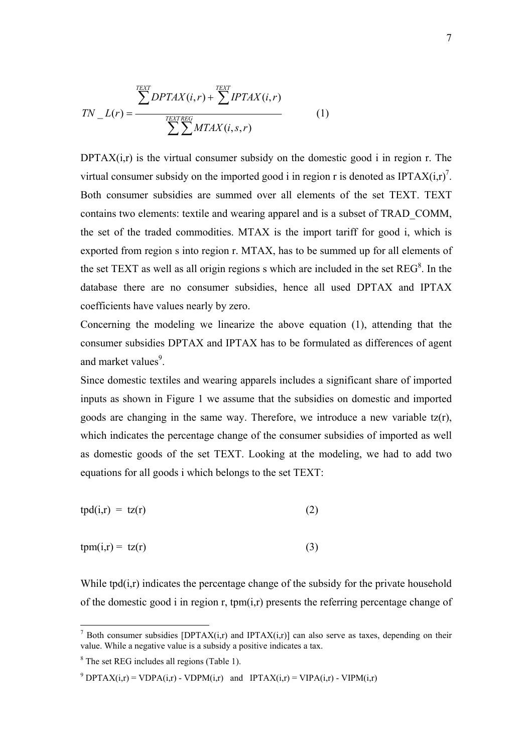$$
TN_{-}L(r) = \frac{\sum_{TEXT} DPTAX(i,r) + \sum_{TEXTREG} TPTAX(i,r)}{\sum_{TEXTREG} MTAX(i,s,r)}
$$
(1)

DPTA $X(i,r)$  is the virtual consumer subsidy on the domestic good i in region r. The virtual consumer subsidy on the imported good i in region r is denoted as IPTA $X(i,r)^7$ . Both consumer subsidies are summed over all elements of the set TEXT. TEXT contains two elements: textile and wearing apparel and is a subset of TRAD\_COMM, the set of the traded commodities. MTAX is the import tariff for good i, which is exported from region s into region r. MTAX, has to be summed up for all elements of the set TEXT as well as all origin regions s which are included in the set  $REG<sup>8</sup>$ . In the database there are no consumer subsidies, hence all used DPTAX and IPTAX coefficients have values nearly by zero.

Concerning the modeling we linearize the above equation (1), attending that the consumer subsidies DPTAX and IPTAX has to be formulated as differences of agent and market values<sup>9</sup>.

Since domestic textiles and wearing apparels includes a significant share of imported inputs as shown in Figure 1 we assume that the subsidies on domestic and imported goods are changing in the same way. Therefore, we introduce a new variable tz(r), which indicates the percentage change of the consumer subsidies of imported as well as domestic goods of the set TEXT. Looking at the modeling, we had to add two equations for all goods i which belongs to the set TEXT:

$$
tpd(i,r) = tz(r) \tag{2}
$$

$$
tpm(i,r) = tz(r)
$$
 (3)

While tpd(i,r) indicates the percentage change of the subsidy for the private household of the domestic good i in region r, tpm(i,r) presents the referring percentage change of

<sup>&</sup>lt;sup>7</sup> Both consumer subsidies [DPTAX(i,r) and IPTAX(i,r)] can also serve as taxes, depending on their value. While a negative value is a subsidy a positive indicates a tax.

<sup>&</sup>lt;sup>8</sup> The set REG includes all regions (Table 1).

<sup>&</sup>lt;sup>9</sup> DPTAX(i,r) = VDPA(i,r) - VDPM(i,r) and IPTAX(i,r) = VIPA(i,r) - VIPM(i,r)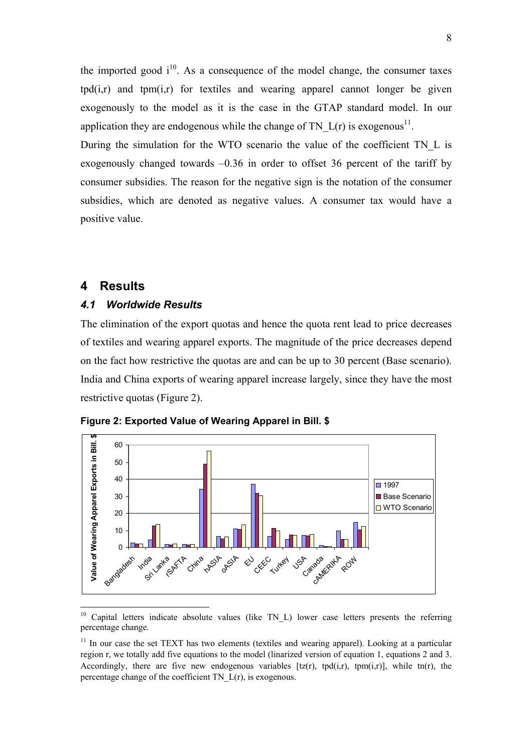the imported good  $i^{10}$ . As a consequence of the model change, the consumer taxes  $\text{tpd}(i,r)$  and  $\text{tpm}(i,r)$  for textiles and wearing apparel cannot longer be given exogenously to the model as it is the case in the GTAP standard model. In our application they are endogenous while the change of TN  $L(r)$  is exogenous<sup>11</sup>.

During the simulation for the WTO scenario the value of the coefficient TN\_L is exogenously changed towards –0.36 in order to offset 36 percent of the tariff by consumer subsidies. The reason for the negative sign is the notation of the consumer subsidies, which are denoted as negative values. A consumer tax would have a positive value.

## **4 Results**

 $\overline{a}$ 

### *4.1 Worldwide Results*

The elimination of the export quotas and hence the quota rent lead to price decreases of textiles and wearing apparel exports. The magnitude of the price decreases depend on the fact how restrictive the quotas are and can be up to 30 percent (Base scenario). India and China exports of wearing apparel increase largely, since they have the most restrictive quotas (Figure 2).





 $10$  Capital letters indicate absolute values (like TN L) lower case letters presents the referring percentage change.

 $11$  In our case the set TEXT has two elements (textiles and wearing apparel). Looking at a particular region r, we totally add five equations to the model (linarized version of equation 1, equations 2 and 3. Accordingly, there are five new endogenous variables  $[tz(r), t\phi(i,r), t\phi(i,r)]$ , while  $t\phi(r)$ , the percentage change of the coefficient TN\_L(r), is exogenous.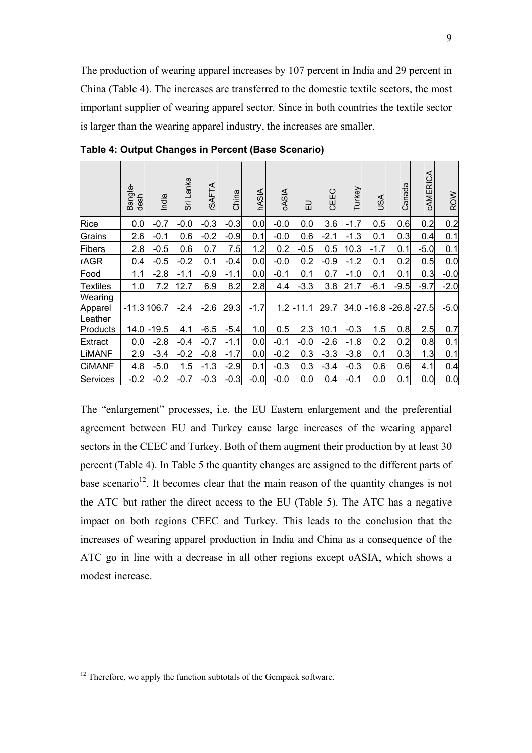The production of wearing apparel increases by 107 percent in India and 29 percent in China (Table 4). The increases are transferred to the domestic textile sectors, the most important supplier of wearing apparel sector. Since in both countries the textile sector is larger than the wearing apparel industry, the increases are smaller.

|                     | Bangla-<br>desh | India        | Sri Lanka | <b>CSAFTA</b> | China  | <b>hASIA</b> | <b>OASIA</b> | 긊       | CEEC   | Turkey | ASL           | Canada | CAMERICA       | <b>ROW</b> |
|---------------------|-----------------|--------------|-----------|---------------|--------|--------------|--------------|---------|--------|--------|---------------|--------|----------------|------------|
| Rice                | 0.0             | $-0.7$       | $-0.0$    | $-0.3$        | $-0.3$ | 0.0          | $-0.0$       | 0.0     | 3.6    | $-1.7$ | 0.5           | 0.6    | 0.2            | 0.2        |
| Grains              | 2.6             | $-0.1$       | 0.6       | $-0.2$        | $-0.9$ | 0.1          | $-0.0$       | 0.6     | $-2.1$ | $-1.3$ | 0.1           | 0.3    | 0.4            | 0.1        |
| Fibers              | 2.8             | $-0.5$       | 0.6       | 0.7           | 7.5    | 1.2          | 0.2          | $-0.5$  | 0.5    | 10.3   | $-1.7$        | 0.1    | $-5.0$         | 0.1        |
| <b>rAGR</b>         | 0.4             | $-0.5$       | $-0.2$    | 0.1           | $-0.4$ | 0.0          | $-0.0$       | 0.2     | $-0.9$ | $-1.2$ | 0.1           | 0.2    | 0.5            | 0.0        |
| Food                | 1.1             | $-2.8$       | $-1.1$    | $-0.9$        | $-1.1$ | 0.0          | $-0.1$       | 0.1     | 0.7    | $-1.0$ | 0.1           | 0.1    | 0.3            | $-0.0$     |
| Textiles            | 1.0             | 7.2          | 12.7      | 6.9           | 8.2    | 2.8          | 4.4          | $-3.3$  | 3.8    | 21.7   | $-6.1$        | $-9.5$ | $-9.7$         | $-2.0$     |
| Wearing<br>Apparel  |                 | $-11.3106.7$ | $-2.4$    | $-2.6$        | 29.3   | $-1.7$       | 1.2          | $-11.1$ | 29.7   |        | $34.0 - 16.8$ |        | $-26.8 - 27.5$ | $-5.0$     |
| Leather<br>Products | 14.0            | $-19.5$      | 4.1       | $-6.5$        | $-5.4$ | 1.0          | 0.5          | 2.3     | 10.1   | $-0.3$ | 1.5           | 0.8    | 2.5            | 0.7        |
| Extract             | 0.0             | $-2.8$       | $-0.4$    | $-0.7$        | $-1.1$ | 0.0          | $-0.1$       | $-0.0$  | $-2.6$ | $-1.8$ | 0.2           | 0.2    | 0.8            | 0.1        |
| LIMANF              | 2.9             | $-3.4$       | $-0.2$    | $-0.8$        | $-1.7$ | 0.0          | $-0.2$       | 0.3     | $-3.3$ | $-3.8$ | 0.1           | 0.3    | 1.3            | 0.1        |
| <b>CIMANF</b>       | 4.8             | $-5.0$       | 1.5       | $-1.3$        | $-2.9$ | 0.1          | $-0.3$       | 0.3     | $-3.4$ | $-0.3$ | 0.6           | 0.6    | 4.1            | 0.4        |
| Services            | $-0.2$          | $-0.2$       | $-0.7$    | $-0.3$        | $-0.3$ | $-0.0$       | $-0.0$       | 0.0     | 0.4    | $-0.1$ | 0.0           | 0.1    | 0.0            | 0.0        |

**Table 4: Output Changes in Percent (Base Scenario)** 

The "enlargement" processes, i.e. the EU Eastern enlargement and the preferential agreement between EU and Turkey cause large increases of the wearing apparel sectors in the CEEC and Turkey. Both of them augment their production by at least 30 percent (Table 4). In Table 5 the quantity changes are assigned to the different parts of base scenario<sup>12</sup>. It becomes clear that the main reason of the quantity changes is not the ATC but rather the direct access to the EU (Table 5). The ATC has a negative impact on both regions CEEC and Turkey. This leads to the conclusion that the increases of wearing apparel production in India and China as a consequence of the ATC go in line with a decrease in all other regions except oASIA, which shows a modest increase.

 $12$  Therefore, we apply the function subtotals of the Gempack software.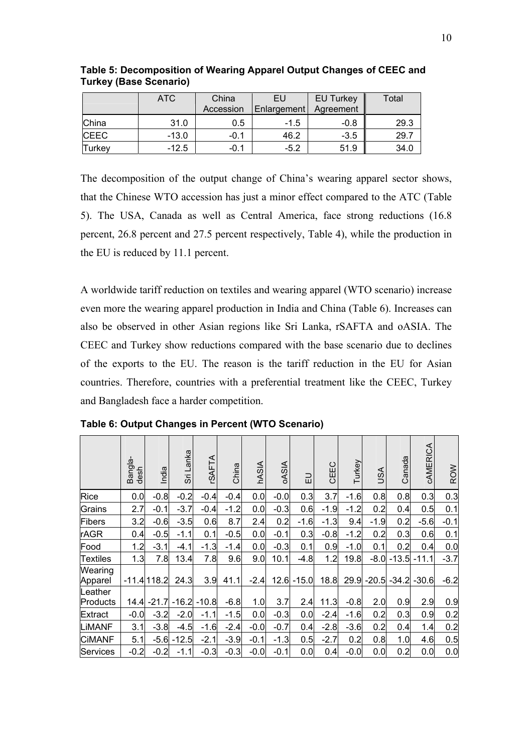|               | <b>ATC</b> | China<br>Accession | EU<br>Enlargement | <b>EU Turkey</b><br>Agreement | Total |
|---------------|------------|--------------------|-------------------|-------------------------------|-------|
| China         | 31.0       | 0.5                | $-1.5$            | $-0.8$                        | 29.3  |
| <b>CEEC</b>   | $-13.0$    | -0.1               | 46.2              | $-3.5$                        | 29.7  |
| <b>Turkey</b> | $-12.5$    | -0.1               | $-5.2$            | 51.9                          | 34.0  |

**Table 5: Decomposition of Wearing Apparel Output Changes of CEEC and Turkey (Base Scenario)** 

The decomposition of the output change of China's wearing apparel sector shows, that the Chinese WTO accession has just a minor effect compared to the ATC (Table 5). The USA, Canada as well as Central America, face strong reductions (16.8 percent, 26.8 percent and 27.5 percent respectively, Table 4), while the production in the EU is reduced by 11.1 percent.

A worldwide tariff reduction on textiles and wearing apparel (WTO scenario) increase even more the wearing apparel production in India and China (Table 6). Increases can also be observed in other Asian regions like Sri Lanka, rSAFTA and oASIA. The CEEC and Turkey show reductions compared with the base scenario due to declines of the exports to the EU. The reason is the tariff reduction in the EU for Asian countries. Therefore, countries with a preferential treatment like the CEEC, Turkey and Bangladesh face a harder competition.

|                     | Bangla-<br>$d$ esh | India         | Sri Lanka | <b>CSAFTA</b> | China  | <b>hASIA</b> | <b>OASIA</b> | 긊       | CEEC   | Turkey | SA      | Canada  | CAMERICA       | ROW    |
|---------------------|--------------------|---------------|-----------|---------------|--------|--------------|--------------|---------|--------|--------|---------|---------|----------------|--------|
| Rice                | 0.0                | $-0.8$        | $-0.2$    | $-0.4$        | $-0.4$ | 0.0          | $-0.0$       | 0.3     | 3.7    | $-1.6$ | 0.8     | 0.8     | 0.3            | 0.3    |
| Grains              | 2.7                | $-0.1$        | $-3.7$    | $-0.4$        | $-1.2$ | 0.0          | $-0.3$       | 0.6     | $-1.9$ | $-1.2$ | 0.2     | 0.4     | 0.5            | 0.1    |
| Fibers              | 3.2                | $-0.6$        | $-3.5$    | 0.6           | 8.7    | 2.4          | 0.2          | $-1.6$  | $-1.3$ | 9.4    | $-1.9$  | 0.2     | $-5.6$         | $-0.1$ |
| rAGR                | 0.4                | $-0.5$        | $-1.1$    | 0.1           | $-0.5$ | 0.0          | $-0.1$       | 0.3     | $-0.8$ | $-1.2$ | 0.2     | 0.3     | 0.6            | 0.1    |
| Food                | 1.2                | $-3.1$        | $-4.1$    | $-1.3$        | $-1.4$ | 0.0          | $-0.3$       | 0.1     | 0.9    | $-1.0$ | 0.1     | 0.2     | 0.4            | 0.0    |
| <b>Textiles</b>     | 1.3                | 7.8           | 13.4      | 7.8           | 9.6    | 9.0          | 10.1         | $-4.8$  | 1.2    | 19.8   | $-8.0$  | $-13.5$ | $-11.1$        | $-3.7$ |
| Wearing<br>Apparel  |                    | $-11.4$ 118.2 | 24.3      | 3.9           | 41.1   | $-2.4$       | 12.6         | $-15.0$ | 18.8   | 29.9   | $-20.5$ |         | $-34.2 - 30.6$ | $-6.2$ |
| Leather<br>Products |                    | $14.4 - 21.7$ | $-16.2$   | $-10.8$       | $-6.8$ | 1.0          | 3.7          | 2.4     | 11.3   | $-0.8$ | 2.0     | 0.9     | 2.9            | 0.9    |
| Extract             | $-0.0$             | $-3.2$        | $-2.0$    | $-1.1$        | $-1.5$ | 0.0          | $-0.3$       | 0.0     | $-2.4$ | $-1.6$ | 0.2     | 0.3     | 0.9            | 0.2    |
| LIMANF              | 3.1                | $-3.8$        | $-4.5$    | $-1.6$        | $-2.4$ | $-0.0$       | $-0.7$       | 0.4     | $-2.8$ | $-3.6$ | 0.2     | 0.4     | 1.4            | 0.2    |
| <b>CIMANF</b>       | 5.1                | $-5.6$        | $-12.5$   | $-2.1$        | $-3.9$ | $-0.1$       | $-1.3$       | 0.5     | $-2.7$ | 0.2    | 0.8     | 1.0     | 4.6            | 0.5    |
| Services            | $-0.2$             | $-0.2$        | $-1.1$    | $-0.3$        | $-0.3$ | $-0.0$       | $-0.1$       | 0.0     | 0.4    | $-0.0$ | 0.0     | 0.2     | 0.0            | 0.0    |

**Table 6: Output Changes in Percent (WTO Scenario)**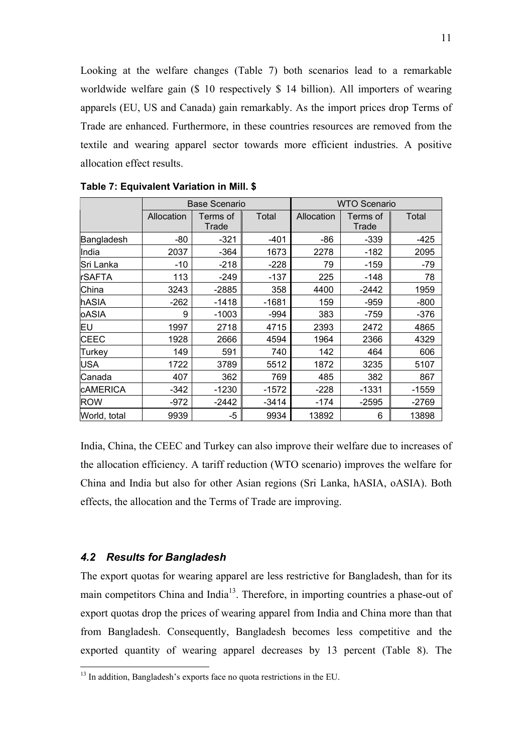Looking at the welfare changes (Table 7) both scenarios lead to a remarkable worldwide welfare gain (\$ 10 respectively \$ 14 billion). All importers of wearing apparels (EU, US and Canada) gain remarkably. As the import prices drop Terms of Trade are enhanced. Furthermore, in these countries resources are removed from the textile and wearing apparel sector towards more efficient industries. A positive allocation effect results.

|                 |            | <b>Base Scenario</b> |         | <b>WTO Scenario</b> |                   |         |  |  |
|-----------------|------------|----------------------|---------|---------------------|-------------------|---------|--|--|
|                 | Allocation | Terms of<br>Trade    | Total   | Allocation          | Terms of<br>Trade | Total   |  |  |
| Bangladesh      | -80        | $-321$               | -401    | -86                 | -339              | -425    |  |  |
| India           | 2037       | $-364$               | 1673    | 2278                | -182              | 2095    |  |  |
| Sri Lanka       | $-10$      | $-218$               | $-228$  | 79                  | $-159$            | -79     |  |  |
| <b>rSAFTA</b>   | 113        | $-249$               | $-137$  | 225                 | -148              | 78      |  |  |
| China           | 3243       | $-2885$              | 358     | 4400                | $-2442$           | 1959    |  |  |
| hASIA           | $-262$     | $-1418$              | $-1681$ | 159                 | $-959$            | $-800$  |  |  |
| oASIA           | 9          | $-1003$              | $-994$  | 383                 | -759              | -376    |  |  |
| lΕU             | 1997       | 2718                 | 4715    | 2393                | 2472              | 4865    |  |  |
| <b>CEEC</b>     | 1928       | 2666                 | 4594    | 1964                | 2366              | 4329    |  |  |
| Turkey          | 149        | 591                  | 740     | 142                 | 464               | 606     |  |  |
| <b>USA</b>      | 1722       | 3789                 | 5512    | 1872                | 3235              | 5107    |  |  |
| Canada          | 407        | 362                  | 769     | 485                 | 382               | 867     |  |  |
| <b>CAMERICA</b> | -342       | $-1230$              | $-1572$ | $-228$              | $-1331$           | $-1559$ |  |  |
| <b>ROW</b>      | $-972$     | $-2442$              | $-3414$ | $-174$              | $-2595$           | $-2769$ |  |  |
| World, total    | 9939       | -5                   | 9934    | 13892               | 6                 | 13898   |  |  |

**Table 7: Equivalent Variation in Mill. \$** 

India, China, the CEEC and Turkey can also improve their welfare due to increases of the allocation efficiency. A tariff reduction (WTO scenario) improves the welfare for China and India but also for other Asian regions (Sri Lanka, hASIA, oASIA). Both effects, the allocation and the Terms of Trade are improving.

#### *4.2 Results for Bangladesh*

 $\overline{a}$ 

The export quotas for wearing apparel are less restrictive for Bangladesh, than for its main competitors China and India<sup>13</sup>. Therefore, in importing countries a phase-out of export quotas drop the prices of wearing apparel from India and China more than that from Bangladesh. Consequently, Bangladesh becomes less competitive and the exported quantity of wearing apparel decreases by 13 percent (Table 8). The

 $13$  In addition, Bangladesh's exports face no quota restrictions in the EU.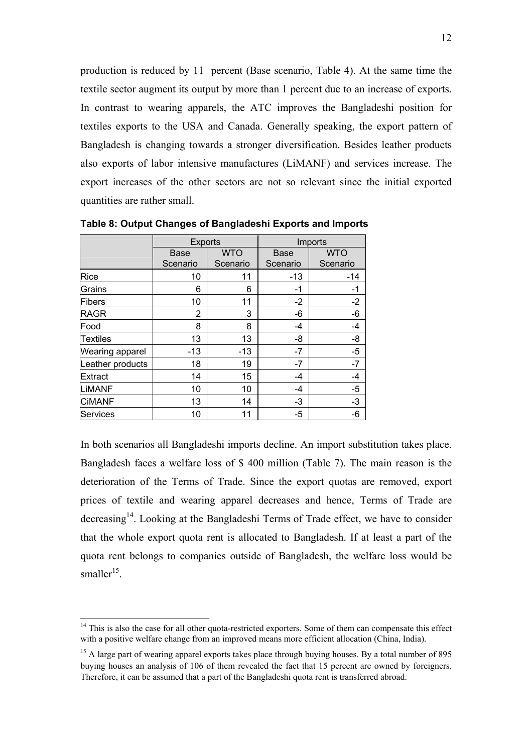production is reduced by 11 percent (Base scenario, Table 4). At the same time the textile sector augment its output by more than 1 percent due to an increase of exports. In contrast to wearing apparels, the ATC improves the Bangladeshi position for textiles exports to the USA and Canada. Generally speaking, the export pattern of Bangladesh is changing towards a stronger diversification. Besides leather products also exports of labor intensive manufactures (LiMANF) and services increase. The export increases of the other sectors are not so relevant since the initial exported quantities are rather small.

|                        | <b>Exports</b> |            | Imports     |            |  |  |
|------------------------|----------------|------------|-------------|------------|--|--|
|                        | <b>Base</b>    | <b>WTO</b> | <b>Base</b> | <b>WTO</b> |  |  |
|                        | Scenario       | Scenario   | Scenario    | Scenario   |  |  |
| Rice                   | 10             | 11         | $-13$       | $-14$      |  |  |
| Grains                 | 6              | 6          | $-1$        | -1         |  |  |
| <b>Fibers</b>          | 10             | 11         | $-2$        | $-2$       |  |  |
| <b>RAGR</b>            | 2              | 3          | $-6$        | -6         |  |  |
| Food                   | 8              | 8          | -4          | $-4$       |  |  |
| <b>Textiles</b>        | 13             | 13         | -8          | -8         |  |  |
| <b>Wearing apparel</b> | $-13$          | $-13$      | $-7$        | $-5$       |  |  |
| Leather products       | 18             | 19         | $-7$        | $-7$       |  |  |
| <b>Extract</b>         | 14             | 15         | -4          | -4         |  |  |
| LIMANF                 | 10             | 10         | $-4$        | $-5$       |  |  |
| <b>CIMANF</b>          | 13             | 14         | $-3$        | $-3$       |  |  |
| <b>Services</b>        | 10             | 11         | $-5$        | -6         |  |  |

**Table 8: Output Changes of Bangladeshi Exports and Imports** 

In both scenarios all Bangladeshi imports decline. An import substitution takes place. Bangladesh faces a welfare loss of \$ 400 million (Table 7). The main reason is the deterioration of the Terms of Trade. Since the export quotas are removed, export prices of textile and wearing apparel decreases and hence, Terms of Trade are decreasing<sup>14</sup>. Looking at the Bangladeshi Terms of Trade effect, we have to consider that the whole export quota rent is allocated to Bangladesh. If at least a part of the quota rent belongs to companies outside of Bangladesh, the welfare loss would be smaller<sup>15</sup>.

 $14$  This is also the case for all other quota-restricted exporters. Some of them can compensate this effect with a positive welfare change from an improved means more efficient allocation (China, India).

 $15$  A large part of wearing apparel exports takes place through buying houses. By a total number of 895 buying houses an analysis of 106 of them revealed the fact that 15 percent are owned by foreigners. Therefore, it can be assumed that a part of the Bangladeshi quota rent is transferred abroad.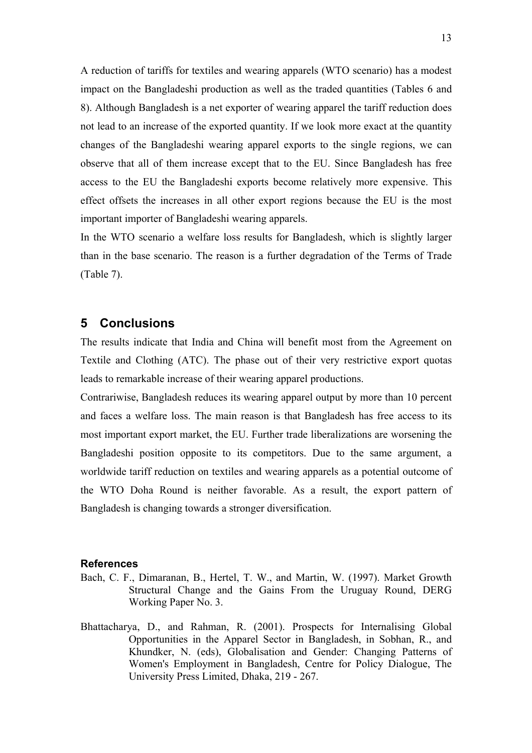A reduction of tariffs for textiles and wearing apparels (WTO scenario) has a modest impact on the Bangladeshi production as well as the traded quantities (Tables 6 and 8). Although Bangladesh is a net exporter of wearing apparel the tariff reduction does not lead to an increase of the exported quantity. If we look more exact at the quantity changes of the Bangladeshi wearing apparel exports to the single regions, we can observe that all of them increase except that to the EU. Since Bangladesh has free access to the EU the Bangladeshi exports become relatively more expensive. This effect offsets the increases in all other export regions because the EU is the most important importer of Bangladeshi wearing apparels.

In the WTO scenario a welfare loss results for Bangladesh, which is slightly larger than in the base scenario. The reason is a further degradation of the Terms of Trade (Table 7).

### **5 Conclusions**

The results indicate that India and China will benefit most from the Agreement on Textile and Clothing (ATC). The phase out of their very restrictive export quotas leads to remarkable increase of their wearing apparel productions.

Contrariwise, Bangladesh reduces its wearing apparel output by more than 10 percent and faces a welfare loss. The main reason is that Bangladesh has free access to its most important export market, the EU. Further trade liberalizations are worsening the Bangladeshi position opposite to its competitors. Due to the same argument, a worldwide tariff reduction on textiles and wearing apparels as a potential outcome of the WTO Doha Round is neither favorable. As a result, the export pattern of Bangladesh is changing towards a stronger diversification.

#### **References**

- Bach, C. F., Dimaranan, B., Hertel, T. W., and Martin, W. (1997). Market Growth Structural Change and the Gains From the Uruguay Round, DERG Working Paper No. 3.
- Bhattacharya, D., and Rahman, R. (2001). Prospects for Internalising Global Opportunities in the Apparel Sector in Bangladesh, in Sobhan, R., and Khundker, N. (eds), Globalisation and Gender: Changing Patterns of Women's Employment in Bangladesh, Centre for Policy Dialogue, The University Press Limited, Dhaka, 219 - 267.